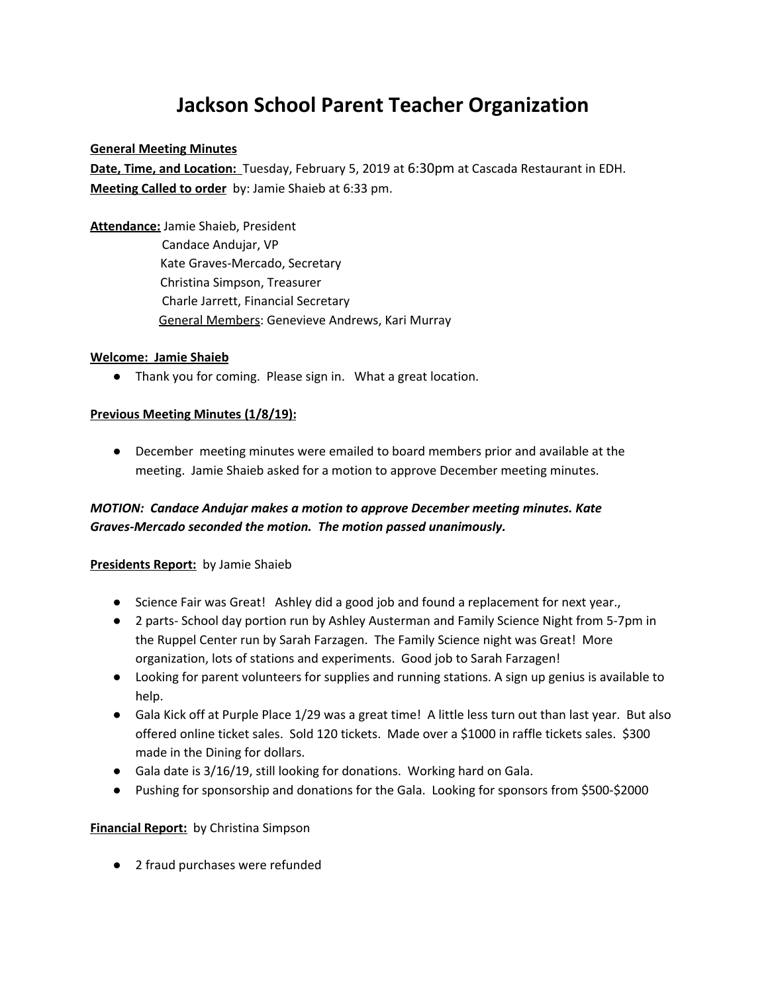# **Jackson School Parent Teacher Organization**

## **General Meeting Minutes**

**Date, Time, and Location:** Tuesday, February 5, 2019 at 6:30pm at Cascada Restaurant in EDH. **Meeting Called to order** by: Jamie Shaieb at 6:33 pm.

**Attendance:** Jamie Shaieb, President Candace Andujar, VP Kate Graves-Mercado, Secretary Christina Simpson, Treasurer Charle Jarrett, Financial Secretary General Members: Genevieve Andrews, Kari Murray

#### **Welcome: Jamie Shaieb**

● Thank you for coming. Please sign in. What a great location.

## **Previous Meeting Minutes (1/8/19):**

● December meeting minutes were emailed to board members prior and available at the meeting. Jamie Shaieb asked for a motion to approve December meeting minutes.

## *MOTION: Candace Andujar makes a motion to approve December meeting minutes. Kate Graves-Mercado seconded the motion. The motion passed unanimously.*

## **Presidents Report:** by Jamie Shaieb

- Science Fair was Great! Ashley did a good job and found a replacement for next year.,
- 2 parts- School day portion run by Ashley Austerman and Family Science Night from 5-7pm in the Ruppel Center run by Sarah Farzagen. The Family Science night was Great! More organization, lots of stations and experiments. Good job to Sarah Farzagen!
- Looking for parent volunteers for supplies and running stations. A sign up genius is available to help.
- Gala Kick off at Purple Place 1/29 was a great time! A little less turn out than last year. But also offered online ticket sales. Sold 120 tickets. Made over a \$1000 in raffle tickets sales. \$300 made in the Dining for dollars.
- Gala date is 3/16/19, still looking for donations. Working hard on Gala.
- Pushing for sponsorship and donations for the Gala. Looking for sponsors from \$500-\$2000

## **Financial Report:** by Christina Simpson

● 2 fraud purchases were refunded